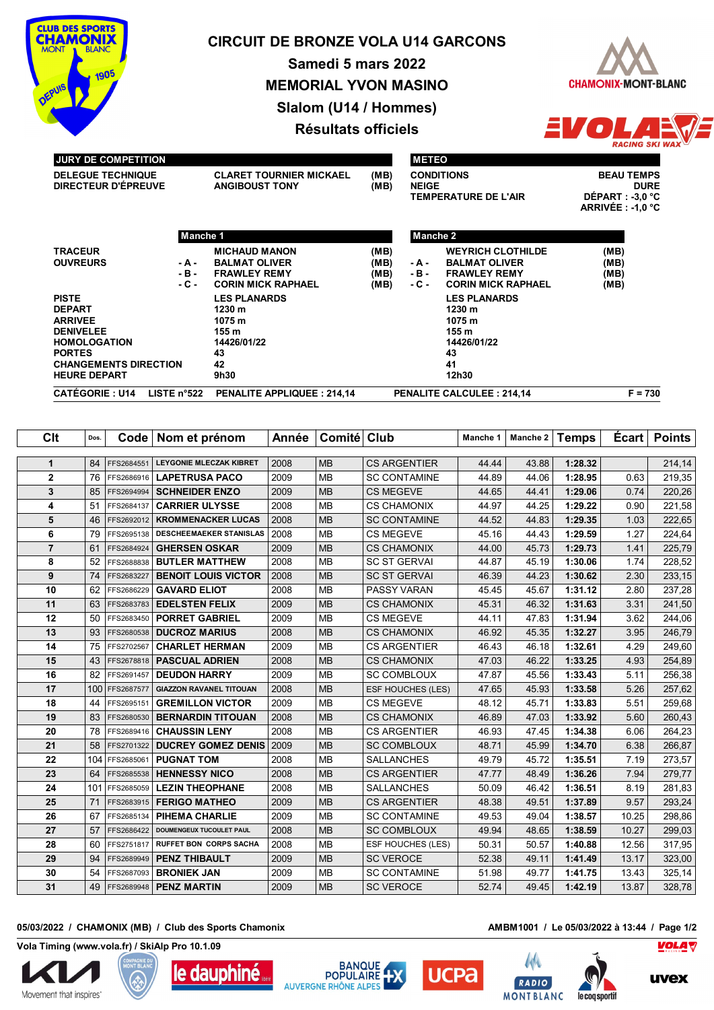

# **CIRCUIT DE BRONZE VOLA U14 GARCONS**

**Samedi 5 mars 2022 MEMORIAL YVON MASINO Slalom (U14 / Hommes) Résultats officiels**



#### **JURY DE COMPETITION**

**DELEGUE TECHNIQUE CLARET TOURNIER MICKAEL (MB) DIRECTEUR D'ÉPREUVE ANGIBOUST TONY (MB)**

|              | <b>METEO</b>                                              |
|--------------|-----------------------------------------------------------|
| (MB)<br>(MB) | <b>CONDITIONS</b><br><b>NEIGE</b><br>TEMPERATURE DE L'AIR |
|              |                                                           |

**BEAU TEMPS DURE**<br>DÉPART : -3,0 °C **ARRIVÉE : -1,0 °C**

 $\bullet$ 

|                                                                                                                                                                    | Manche 1              |                                                                                                  |                              | Manche 2                 |                                                                                                      |                              |
|--------------------------------------------------------------------------------------------------------------------------------------------------------------------|-----------------------|--------------------------------------------------------------------------------------------------|------------------------------|--------------------------|------------------------------------------------------------------------------------------------------|------------------------------|
| <b>TRACEUR</b><br><b>OUVREURS</b>                                                                                                                                  | - A -<br>-в-<br>- C - | <b>MICHAUD MANON</b><br><b>BALMAT OLIVER</b><br><b>FRAWLEY REMY</b><br><b>CORIN MICK RAPHAEL</b> | (MB)<br>(MB)<br>(MB)<br>(MB) | - A -<br>$-B -$<br>- C - | <b>WEYRICH CLOTHILDE</b><br><b>BALMAT OLIVER</b><br><b>FRAWLEY REMY</b><br><b>CORIN MICK RAPHAEL</b> | (MB)<br>(MB)<br>(MB)<br>(MB) |
| <b>PISTE</b><br><b>DEPART</b><br><b>ARRIVEE</b><br><b>DENIVELEE</b><br><b>HOMOLOGATION</b><br><b>PORTES</b><br><b>CHANGEMENTS DIRECTION</b><br><b>HEURE DEPART</b> |                       | <b>LES PLANARDS</b><br>1230 m<br>1075 m<br>155 m<br>14426/01/22<br>43<br>42<br>9h30              |                              |                          | <b>LES PLANARDS</b><br>1230 m<br>1075 m<br>155 m<br>14426/01/22<br>43<br>41<br>12h30                 |                              |
| <b>CATÉGORIE: U14</b>                                                                                                                                              | LISTE $n^{\circ}522$  | <b>PENALITE APPLIQUEE: 214.14</b>                                                                |                              |                          | <b>PENALITE CALCULEE: 214.14</b>                                                                     | $F = 730$                    |

| Clt            | Dos. | Code       | Nom et prénom                  | Année | Comité Club |                     | Manche 1 | Manche 2 | <b>Temps</b> | <b>Ecart</b> | <b>Points</b> |
|----------------|------|------------|--------------------------------|-------|-------------|---------------------|----------|----------|--------------|--------------|---------------|
| $\mathbf{1}$   | 84   | FFS2684551 | LEYGONIE MLECZAK KIBRET        | 2008  | <b>MB</b>   | <b>CS ARGENTIER</b> | 44.44    | 43.88    | 1:28.32      |              | 214,14        |
| $\overline{2}$ | 76   | FFS2686916 | <b>LAPETRUSA PACO</b>          | 2009  | <b>MB</b>   | <b>SC CONTAMINE</b> | 44.89    | 44.06    | 1:28.95      | 0.63         | 219,35        |
| 3              | 85   | FFS2694994 | <b>SCHNEIDER ENZO</b>          | 2009  | <b>MB</b>   | <b>CS MEGEVE</b>    | 44.65    | 44.41    | 1:29.06      | 0.74         | 220,26        |
| 4              | 51   | FFS2684137 | <b>CARRIER ULYSSE</b>          | 2008  | <b>MB</b>   | <b>CS CHAMONIX</b>  | 44.97    | 44.25    | 1:29.22      | 0.90         | 221,58        |
| 5              | 46   | FFS2692012 | <b>KROMMENACKER LUCAS</b>      | 2008  | <b>MB</b>   | <b>SC CONTAMINE</b> | 44.52    | 44.83    | 1:29.35      | 1.03         | 222,65        |
| 6              | 79   | FFS2695138 | <b>DESCHEEMAEKER STANISLAS</b> | 2008  | <b>MB</b>   | <b>CS MEGEVE</b>    | 45.16    | 44.43    | 1:29.59      | 1.27         | 224,64        |
| $\overline{7}$ | 61   | FFS2684924 | <b>GHERSEN OSKAR</b>           | 2009  | <b>MB</b>   | <b>CS CHAMONIX</b>  | 44.00    | 45.73    | 1:29.73      | 1.41         | 225,79        |
| 8              | 52   | FFS2688838 | <b>BUTLER MATTHEW</b>          | 2008  | <b>MB</b>   | <b>SC ST GERVAL</b> | 44.87    | 45.19    | 1:30.06      | 1.74         | 228,52        |
| 9              | 74   | FFS2683227 | <b>BENOIT LOUIS VICTOR</b>     | 2008  | <b>MB</b>   | <b>SC ST GERVAI</b> | 46.39    | 44.23    | 1:30.62      | 2.30         | 233,15        |
| 10             | 62   | FFS2686229 | <b>GAVARD ELIOT</b>            | 2008  | <b>MB</b>   | PASSY VARAN         | 45.45    | 45.67    | 1:31.12      | 2.80         | 237,28        |
| 11             | 63   | FFS2683783 | <b>EDELSTEN FELIX</b>          | 2009  | <b>MB</b>   | <b>CS CHAMONIX</b>  | 45.31    | 46.32    | 1:31.63      | 3.31         | 241,50        |
| 12             | 50   | FFS2683450 | <b>PORRET GABRIEL</b>          | 2009  | <b>MB</b>   | <b>CS MEGEVE</b>    | 44.11    | 47.83    | 1:31.94      | 3.62         | 244,06        |
| 13             | 93   | FFS2680538 | <b>DUCROZ MARIUS</b>           | 2008  | <b>MB</b>   | <b>CS CHAMONIX</b>  | 46.92    | 45.35    | 1:32.27      | 3.95         | 246,79        |
| 14             | 75   | FFS2702567 | <b>CHARLET HERMAN</b>          | 2009  | <b>MB</b>   | <b>CS ARGENTIER</b> | 46.43    | 46.18    | 1:32.61      | 4.29         | 249,60        |
| 15             | 43   | FFS2678818 | <b>PASCUAL ADRIEN</b>          | 2008  | <b>MB</b>   | <b>CS CHAMONIX</b>  | 47.03    | 46.22    | 1:33.25      | 4.93         | 254,89        |
| 16             | 82   | FFS2691457 | <b>DEUDON HARRY</b>            | 2009  | <b>MB</b>   | <b>SC COMBLOUX</b>  | 47.87    | 45.56    | 1:33.43      | 5.11         | 256,38        |
| 17             | 100  | FFS2687577 | <b>GIAZZON RAVANEL TITOUAN</b> | 2008  | <b>MB</b>   | ESF HOUCHES (LES)   | 47.65    | 45.93    | 1:33.58      | 5.26         | 257,62        |
| 18             | 44   | FFS2695151 | <b>GREMILLON VICTOR</b>        | 2009  | <b>MB</b>   | <b>CS MEGEVE</b>    | 48.12    | 45.71    | 1:33.83      | 5.51         | 259,68        |
| 19             | 83   | FFS2680530 | <b>BERNARDIN TITOUAN</b>       | 2008  | <b>MB</b>   | <b>CS CHAMONIX</b>  | 46.89    | 47.03    | 1:33.92      | 5.60         | 260,43        |
| 20             | 78   | FFS2689416 | <b>CHAUSSIN LENY</b>           | 2008  | <b>MB</b>   | <b>CS ARGENTIER</b> | 46.93    | 47.45    | 1:34.38      | 6.06         | 264,23        |
| 21             | 58   | FFS2701322 | <b>DUCREY GOMEZ DENIS</b>      | 2009  | <b>MB</b>   | <b>SC COMBLOUX</b>  | 48.71    | 45.99    | 1:34.70      | 6.38         | 266,87        |
| 22             | 104  | FFS2685061 | <b>PUGNAT TOM</b>              | 2008  | <b>MB</b>   | <b>SALLANCHES</b>   | 49.79    | 45.72    | 1:35.51      | 7.19         | 273,57        |
| 23             | 64   | FFS2685538 | <b>HENNESSY NICO</b>           | 2008  | <b>MB</b>   | <b>CS ARGENTIER</b> | 47.77    | 48.49    | 1:36.26      | 7.94         | 279,77        |
| 24             | 101  | FFS2685059 | <b>LEZIN THEOPHANE</b>         | 2008  | <b>MB</b>   | <b>SALLANCHES</b>   | 50.09    | 46.42    | 1:36.51      | 8.19         | 281,83        |
| 25             | 71   | FFS2683915 | <b>FERIGO MATHEO</b>           | 2009  | <b>MB</b>   | <b>CS ARGENTIER</b> | 48.38    | 49.51    | 1:37.89      | 9.57         | 293,24        |
| 26             | 67   | FFS2685134 | <b>PIHEMA CHARLIE</b>          | 2009  | <b>MB</b>   | <b>SC CONTAMINE</b> | 49.53    | 49.04    | 1:38.57      | 10.25        | 298,86        |
| 27             | 57   | FFS2686422 | DOUMENGEUX TUCOULET PAUL       | 2008  | <b>MB</b>   | <b>SC COMBLOUX</b>  | 49.94    | 48.65    | 1:38.59      | 10.27        | 299,03        |
| 28             | 60   | FFS2751817 | <b>RUFFET BON CORPS SACHA</b>  | 2008  | <b>MB</b>   | ESF HOUCHES (LES)   | 50.31    | 50.57    | 1:40.88      | 12.56        | 317,95        |
| 29             | 94   | FFS2689949 | <b>PENZ THIBAULT</b>           | 2009  | <b>MB</b>   | <b>SC VEROCE</b>    | 52.38    | 49.11    | 1:41.49      | 13.17        | 323,00        |
| 30             | 54   | FFS2687093 | <b>BRONIEK JAN</b>             | 2009  | <b>MB</b>   | <b>SC CONTAMINE</b> | 51.98    | 49.77    | 1:41.75      | 13.43        | 325,14        |
| 31             | 49   | FFS2689948 | <b>PENZ MARTIN</b>             | 2009  | <b>MB</b>   | <b>SC VEROCE</b>    | 52.74    | 49.45    | 1:42.19      | 13.87        | 328,78        |

## **05/03/2022 / CHAMONIX (MB) / Club des Sports Chamonix AMBM1001 / Le 05/03/2022 à 13:44 / Page 1/2**

**Vola Timing (www.vola.fr) / SkiAlp Pro 10.1.09**













le coq sportif

**VOLA**